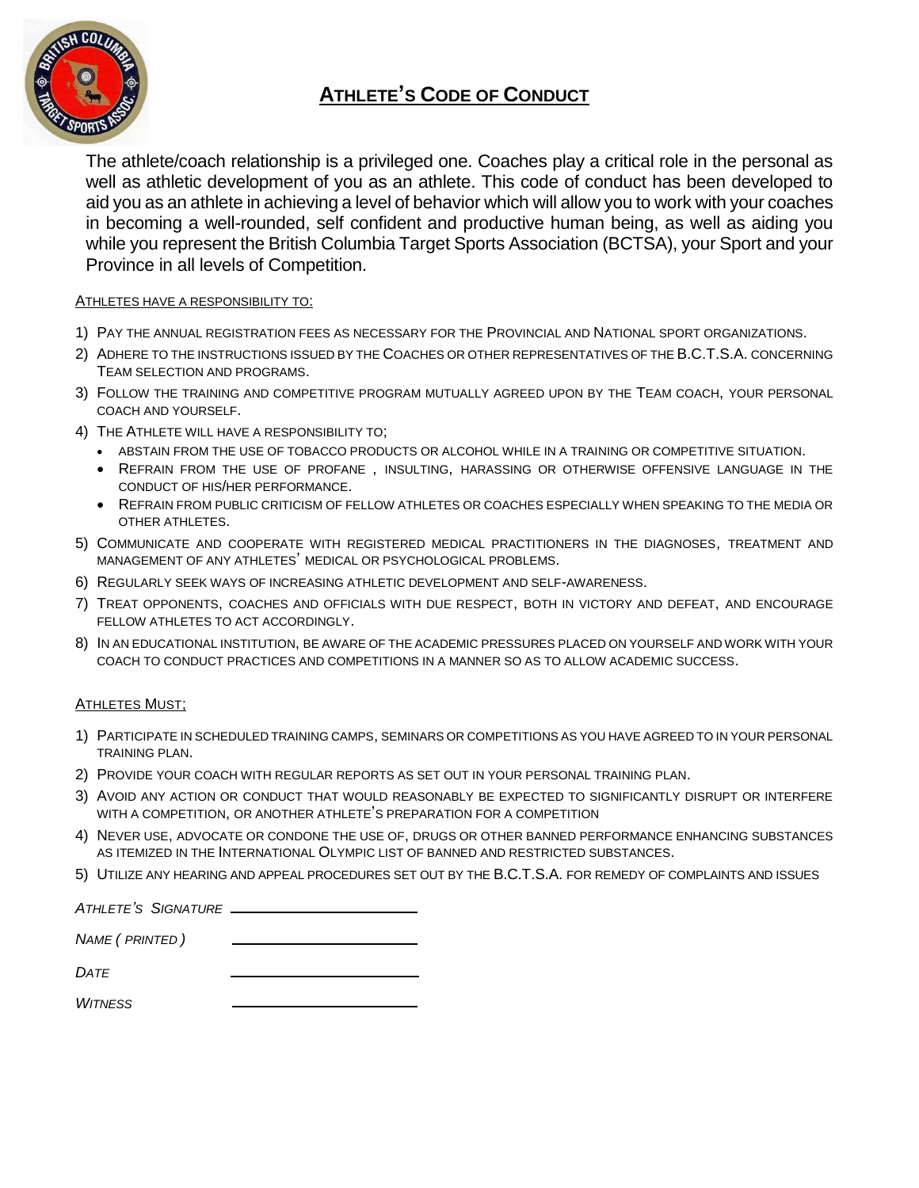

# **ATHLETE'S CODE OF CONDUCT**

The athlete/coach relationship is a privileged one. Coaches play a critical role in the personal as well as athletic development of you as an athlete. This code of conduct has been developed to aid you as an athlete in achieving a level of behavior which will allow you to work with your coaches in becoming a well-rounded, self confident and productive human being, as well as aiding you while you represent the British Columbia Target Sports Association (BCTSA), your Sport and your Province in all levels of Competition.

### ATHLETES HAVE A RESPONSIBILITY TO:

- 1) PAY THE ANNUAL REGISTRATION FEES AS NECESSARY FOR THE PROVINCIAL AND NATIONAL SPORT ORGANIZATIONS.
- 2) ADHERE TO THE INSTRUCTIONS ISSUED BY THE COACHES OR OTHER REPRESENTATIVES OF THE B.C.T.S.A. CONCERNING TEAM SELECTION AND PROGRAMS.
- 3) FOLLOW THE TRAINING AND COMPETITIVE PROGRAM MUTUALLY AGREED UPON BY THE TEAM COACH, YOUR PERSONAL COACH AND YOURSELF.
- 4) THE ATHLETE WILL HAVE A RESPONSIBILITY TO;
	- . ABSTAIN FROM THE USE OF TOBACCO PRODUCTS OR ALCOHOL WHILE IN A TRAINING OR COMPETITIVE SITUATION.
	- . REFRAIN FROM THE USE OF PROFANE, INSULTING, HARASSING OR OTHERWISE OFFENSIVE LANGUAGE IN THE CONDUCT OF HIS/HER PERFORMANCE.
	- **EXECTAIN FROM PUBLIC CRITICISM OF FELLOW ATHLETES OR COACHES ESPECIALLY WHEN SPEAKING TO THE MEDIA OR** OTHER ATHLETES.
- 5) COMMUNICATE AND COOPERATE WITH REGISTERED MEDICAL PRACTITIONERS IN THE DIAGNOSES, TREATMENT AND MANAGEMENT OF ANY ATHLETES' MEDICAL OR PSYCHOLOGICAL PROBLEMS.
- 6) REGULARLY SEEK WAYS OF INCREASING ATHLETIC DEVELOPMENT AND SELF-AWARENESS.
- 7) TREAT OPPONENTS, COACHES AND OFFICIALS WITH DUE RESPECT, BOTH IN VICTORY AND DEFEAT, AND ENCOURAGE FELLOW ATHLETES TO ACT ACCORDINGLY.
- 8) IN AN EDUCATIONAL INSTITUTION, BE AWARE OF THE ACADEMIC PRESSURES PLACED ON YOURSELF AND WORK WITH YOUR COACH TO CONDUCT PRACTICES AND COMPETITIONS IN A MANNER SO AS TO ALLOW ACADEMIC SUCCESS.

## ATHLETES MUST;

- 1) PARTICIPATE IN SCHEDULED TRAINING CAMPS, SEMINARS OR COMPETITIONS AS YOU HAVE AGREED TO IN YOUR PERSONAL TRAINING PLAN.
- 2) PROVIDE YOUR COACH WITH REGULAR REPORTS AS SET OUT IN YOUR PERSONAL TRAINING PLAN.
- 3) AVOID ANY ACTION OR CONDUCT THAT WOULD REASONABLY BE EXPECTED TO SIGNIFICANTLY DISRUPT OR INTERFERE WITH A COMPETITION, OR ANOTHER ATHLETE'S PREPARATION FOR A COMPETITION
- 4) NEVER USE, ADVOCATE OR CONDONE THE USE OF, DRUGS OR OTHER BANNED PERFORMANCE ENHANCING SUBSTANCES AS ITEMIZED IN THE INTERNATIONAL OLYMPIC LIST OF BANNED AND RESTRICTED SUBSTANCES.
- 5) UTILIZE ANY HEARING AND APPEAL PROCEDURES SET OUT BY THE B.C.T.S.A. FOR REMEDY OF COMPLAINTS AND ISSUES

| ATHLETE'S SIGNATURE |  |
|---------------------|--|
| NAME (PRINTED)      |  |
| <b>DATE</b>         |  |
| <b>WITNESS</b>      |  |